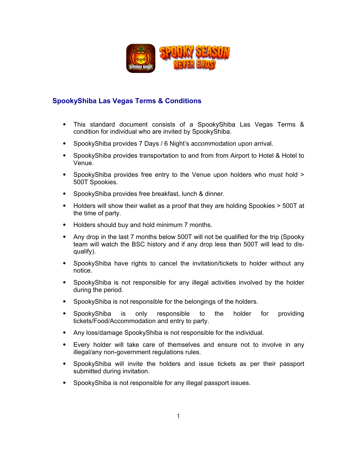

## **SpookyShiba Las Vegas Terms & Conditions**

- ⦁ This standard document consists of a SpookyShiba Las Vegas Terms & condition for individual who are invited by SpookyShiba.
- ⦁ SpookyShiba provides 7 Days / 6 Night's accommodation upon arrival.
- ⦁ SpookyShiba provides transportation to and from from Airport to Hotel & Hotel to Venue.
- SpookyShiba provides free entry to the Venue upon holders who must hold > 500T Spookies.
- ⦁ SpookyShiba provides free breakfast, lunch & dinner.
- ⦁ Holders will show their wallet as a proof that they are holding Spookies > 500T at the time of party.
- ⦁ Holders should buy and hold minimum 7 months.
- Any drop in the last 7 months below 500T will not be qualified for the trip (Spooky team will watch the BSC history and if any drop less than 500T will lead to disqualify).
- ⦁ SpookyShiba have rights to cancel the invitation/tickets to holder without any notice.
- ⦁ SpookyShiba is not responsible for any illegal activities involved by the holder during the period.
- ⦁ SpookyShiba is not responsible for the belongings of the holders.
- ⦁ SpookyShiba is only responsible to the holder for providing tickets/Food/Accommodation and entry to party.
- ⦁ Any loss/damage SpookyShiba is not responsible for the individual.
- ⦁ Every holder will take care of themselves and ensure not to involve in any illegal/any non-government regulations rules.
- ⦁ SpookyShiba will invite the holders and issue tickets as per their passport submitted during invitation.
- ⦁ SpookyShiba is not responsible for any illegal passport issues.